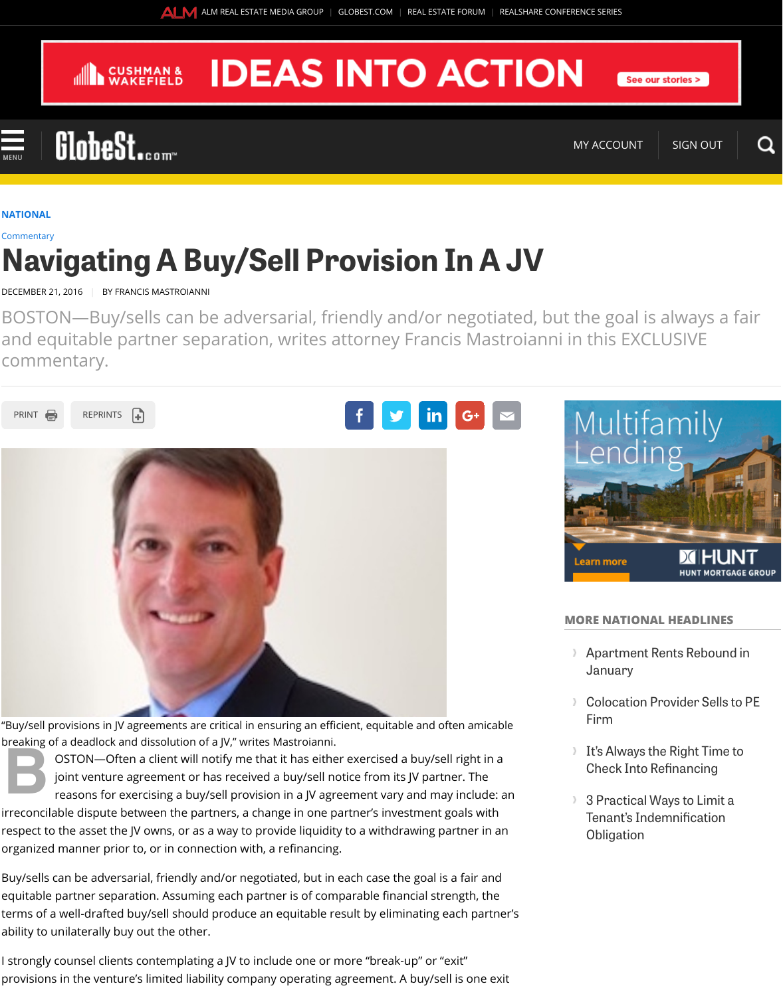



"Buy/sell provisions in JV agreements are critical in ensuring an efficient, equitable and o breaking of a deadlock and dissolution of a JV," writes Mastroianni.

**B** OSTON-Often a client will notify me that it has either exercised a buy/se joint venture agreement or has received a buy/sell notice from its JV part reasons for exercising a buy/sell provision in a JV agreement vary and m irreconcilable dispute between the partners, a change in one partner's investment [respect to th](javascript:void(0))[e asset the JV ow](http://at.alm.com/reprints)ns, or as a way to provide liquidity [to a w](http://www.globest.com/sites/paulbubny/2016/12/21/navigating-a-buysell-provision-in-a-jv/?kw=Navigating%20a%20Buy/Sell%20Provision%20in%20a%20JV&et=editorial&bu=REM&cn=20161221&src=EMC-Email&pt=National&slreturn=20170104173219#)i[thdrawing partner i](http://www.globest.com/sites/paulbubny/2016/12/21/navigating-a-buysell-provision-in-a-jv/?kw=Navigating%20a%20Buy/Sell%20Provision%20in%20a%20JV&et=editorial&bu=REM&cn=20161221&src=EMC-Email&pt=National&slreturn=20170104173219#)n [an](http://www.globest.com/sites/paulbubny/2016/12/21/navigating-a-buysell-provision-in-a-jv/?kw=Navigating%20a%20Buy/Sell%20Provision%20in%20a%20JV&et=editorial&bu=REM&cn=20161221&src=EMC-Email&pt=National&slreturn=20170104173219#)y organized manner prior to, or in connection with, a refinancing.

Buy/sells can be adversarial, friendly and/or negotiated, but in each case the goal i equitable partner separation. Assuming each partner is of comparable financial st terms of a well-drafted buy/sell should produce an equitable result by eliminating ability to unilaterally buy out the other.

I strongly counsel clients contemplating a JV to include one or more "break-up" or ' provisions in the venture's limited liability company operating agreement. A buy/so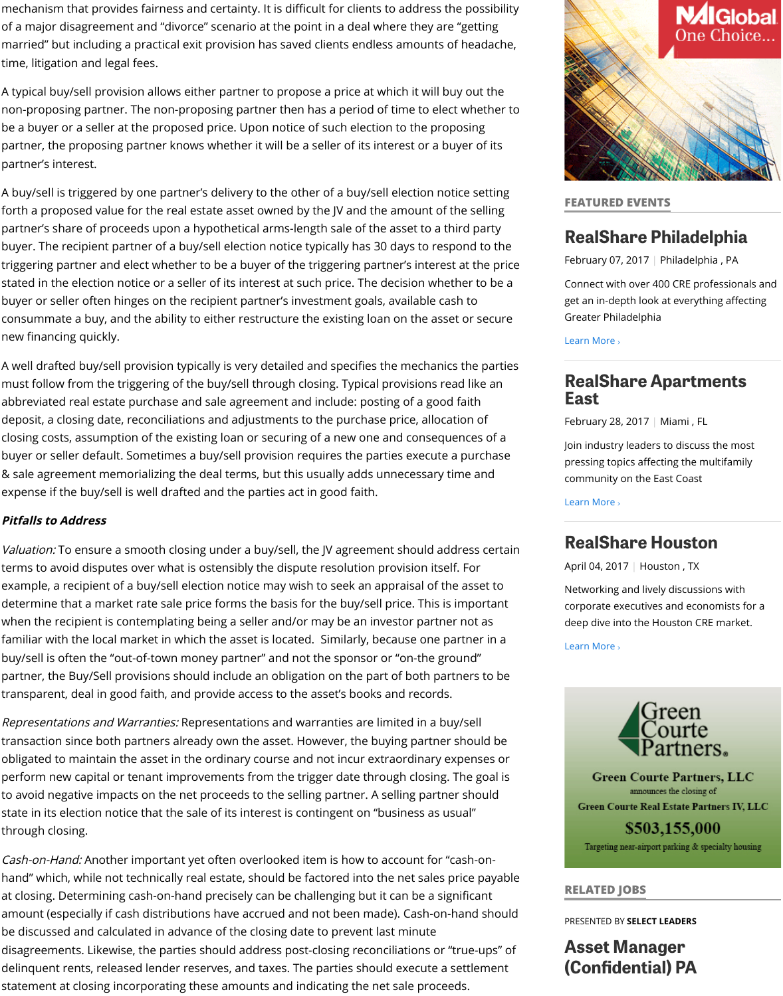deposit, a closing date, reconciliations and adjustments to the purchase price, allocation of closing costs, assumption of the existing loan or securing of a new one and consed buyer or seller default. Sometimes a buy/sell provision requires the parties execut & sale agreement memorializing the deal terms, but this usually adds unnecessary expense if the buy/sell is well drafted and the parties act in good faith.

## **Pitfalls to Address**

Valuation: To ensure a smooth closing under a buy/sell, the JV agreement should a terms to avoid disputes over what is ostensibly the dispute resolution provision its example, a recipient of a buy/sell election notice may wish to seek an appraisal of determine that a market rate sale price forms the basis for the buy/sell price. This when the recipient is contemplating being a seller and/or may be an investor partr familiar with the local market in which the asset is located. Similarly, because one buy/sell is often the "out-of-town money partner" and not the sponsor or "on-the g partner, the Buy/Sell provisions should include an obligation on the part of both part transparent, deal in good faith, and provide access to the asset's books and record

Representations and Warranties: Representations and warranties are limited in a l transaction since both partners already own the asset. However, the buying partne obligated to maintain the asset in the ordinary course and not incur extraordinary perform new capital or tenant improvements from the trigger date through closing to avoid negative impacts on the net proceeds to the selling partner. A selling part state in its election notice that the sale of its interest is contingent on "business as through closing.

Cash-on-Hand: Another important yet often overlooked item is how to account for hand" which, while not technically real estate, should be factored into the net sales at closing. Determining cash-on-hand precisely can be challenging but it can be a s amount (especially if cash distributions have accrued and not been made). Cash-o be discussed and calculated in advance of the closing date to prevent last minute disagreements. Likewise, the parties should address post-closing reconciliations o delinquent rents, released lender reserves, and taxes. The parties should execute statement at closing incorporating these amounts and indicating the net sale proc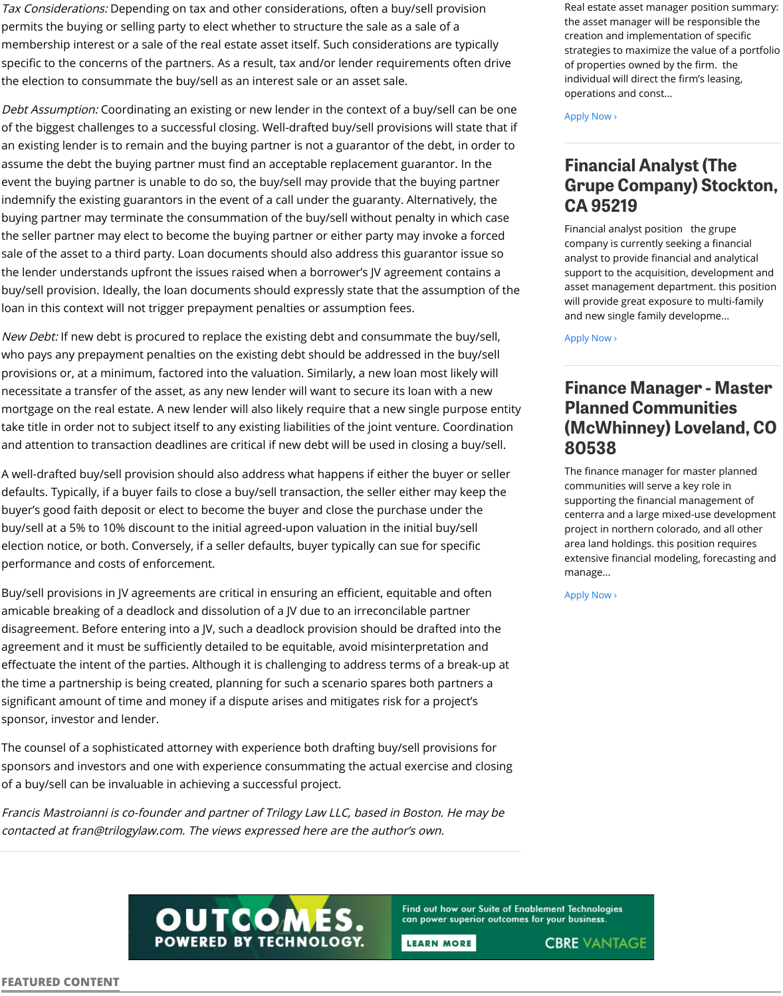take title in order not to subject itself to any existing liabilities of the joint venture. and attention to transaction deadlines are critical if new debt will be used in closin

A well-drafted buy/sell provision should also address what happens if either the bi defaults. Typically, if a buyer fails to close a buy/sell transaction, the seller either m buyer's good faith deposit or elect to become the buyer and close the purchase un buy/sell at a 5% to 10% discount to the initial agreed-upon valuation in the initial b election notice, or both. Conversely, if a seller defaults, buyer typically can sue for performance and costs of enforcement.

Buy/sell provisions in JV agreements are critical in ensuring an efficient, equitable a amicable breaking of a deadlock and dissolution of a JV due to an irreconcilable pa disagreement. Before entering into a JV, such a deadlock provision should be draft agreement and it must be sufficiently detailed to be equitable, avoid misinterpretation effectuate the intent of the parties. Although it is challenging to address terms of a the time a partnership is being created, planning for such a scenario spares both partners and the partners and significant amount of time and money if a dispute arises and mitigates risk for a pi sponsor, investor and lender.

The counsel of a sophisticated attorney with experience both drafting buy/sell pro sponsors and investors and one with experience consummating the actual exercis of a buy/sell can be invaluable in achieving a successful project.

Francis Mastroianni is co-founder and partner of Trilogy Law LLC, based in Boston. contacted at fran@trilogylaw.com. The views expressed here are the author's own.